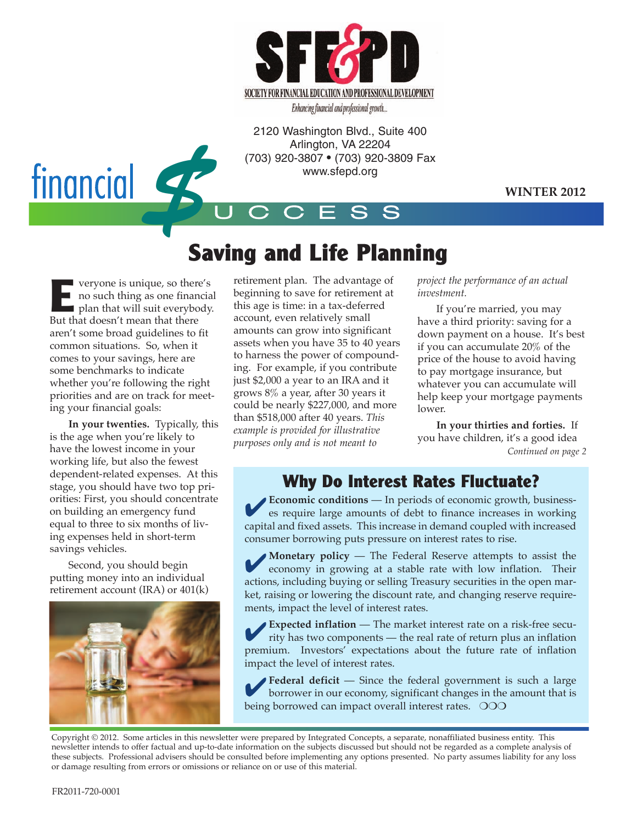

Enhancing financial and professional growth...

2120 Washington Blvd., Suite 400 Arlington, VA 22204 (703) 920-3807 • (703) 920-3809 Fax www.sfepd.org



#### **WINTER 2012**

# **Saving and Life Planning**

U C C E S S

**E** veryone is unique, so there's<br>no such thing as one financial<br>plan that will suit everybody. **no such thing as one financial** But that doesn't mean that there aren't some broad guidelines to fit common situations. So, when it comes to your savings, here are some benchmarks to indicate whether you're following the right priorities and are on track for meeting your financial goals:

**In your twenties.** Typically, this is the age when you're likely to have the lowest income in your working life, but also the fewest dependent-related expenses. At this stage, you should have two top priorities: First, you should concentrate on building an emergency fund equal to three to six months of living expenses held in short-term savings vehicles.

Second, you should begin putting money into an individual retirement account (IRA) or 401(k)



retirement plan. The advantage of beginning to save for retirement at this age is time: in a tax-deferred account, even relatively small amounts can grow into significant assets when you have 35 to 40 years to harness the power of compounding. For example, if you contribute just \$2,000 a year to an IRA and it grows 8% a year, after 30 years it could be nearly \$227,000, and more than \$518,000 after 40 years. *This example is provided for illustrative purposes only and is not meant to*

*project the performance of an actual investment.*

If you're married, you may have a third priority: saving for a down payment on a house. It's best if you can accumulate 20% of the price of the house to avoid having to pay mortgage insurance, but whatever you can accumulate will help keep your mortgage payments lower.

**In your thirties and forties.** If you have children, it's a good idea *Continued on page 2*

### **Why Do Interest Rates Fluctuate?**

**Economic conditions** — In periods of economic growth, businesses require large amounts of debt to finance increases in working capital and fixed assets. This increase in demand coupled with increased consumer borrowing puts pressure on interest rates to rise.

**Monetary policy** — The Federal Reserve attempts to assist the economy in growing at a stable rate with low inflation. Their actions, including buying or selling Treasury securities in the open market, raising or lowering the discount rate, and changing reserve requirements, impact the level of interest rates.

**Expected inflation** — The market interest rate on a risk-free security has two components — the real rate of return plus an inflation premium. Investors' expectations about the future rate of inflation impact the level of interest rates.

4**Federal deficit** — Since the federal government is such <sup>a</sup> large borrower in our economy, significant changes in the amount that is being borrowed can impact overall interest rates. OOO

Copyright © 2012. Some articles in this newsletter were prepared by Integrated Concepts, a separate, nonaffiliated business entity. This newsletter intends to offer factual and up-to-date information on the subjects discussed but should not be regarded as a complete analysis of these subjects. Professional advisers should be consulted before implementing any options presented. No party assumes liability for any loss or damage resulting from errors or omissions or reliance on or use of this material.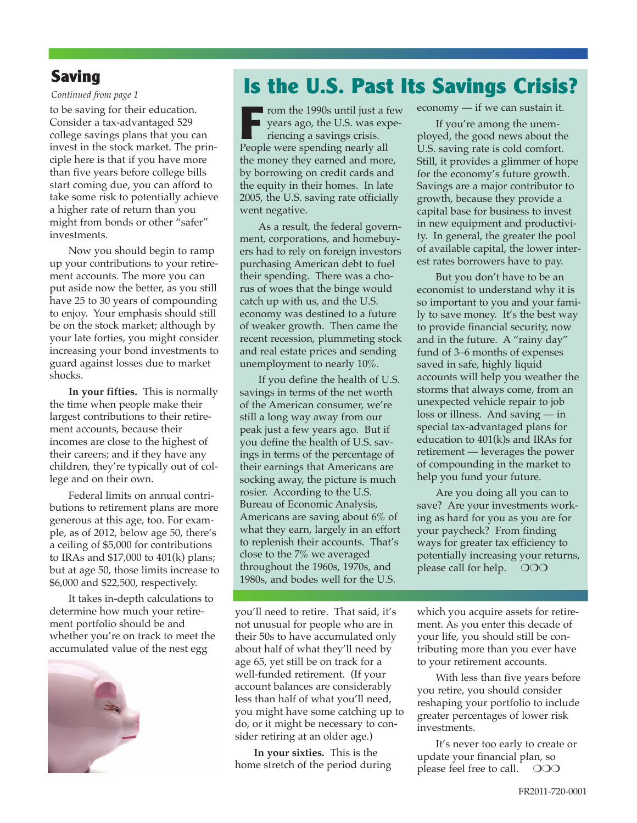#### **Saving**

#### *Continued from page 1*

to be saving for their education. Consider a tax-advantaged 529 college savings plans that you can invest in the stock market. The principle here is that if you have more than five years before college bills start coming due, you can afford to take some risk to potentially achieve a higher rate of return than you might from bonds or other "safer" investments.

Now you should begin to ramp up your contributions to your retirement accounts. The more you can put aside now the better, as you still have 25 to 30 years of compounding to enjoy. Your emphasis should still be on the stock market; although by your late forties, you might consider increasing your bond investments to guard against losses due to market shocks.

**In your fifties.** This is normally the time when people make their largest contributions to their retirement accounts, because their incomes are close to the highest of their careers; and if they have any children, they're typically out of college and on their own.

Federal limits on annual contributions to retirement plans are more generous at this age, too. For example, as of 2012, below age 50, there's a ceiling of \$5,000 for contributions to IRAs and \$17,000 to 401(k) plans; but at age 50, those limits increase to \$6,000 and \$22,500, respectively.

It takes in-depth calculations to determine how much your retirement portfolio should be and whether you're on track to meet the accumulated value of the nest egg



# **Is the U.S. Past Its Savings Crisis?**

**From the 1990s until just a few** years ago, the U.S. was experiencing a savings crisis. People were spending nearly all the money they earned and more, by borrowing on credit cards and the equity in their homes. In late 2005, the U.S. saving rate officially went negative.

As a result, the federal government, corporations, and homebuyers had to rely on foreign investors purchasing American debt to fuel their spending. There was a chorus of woes that the binge would catch up with us, and the U.S. economy was destined to a future of weaker growth. Then came the recent recession, plummeting stock and real estate prices and sending unemployment to nearly 10%.

If you define the health of U.S. savings in terms of the net worth of the American consumer, we're still a long way away from our peak just a few years ago. But if you define the health of U.S. savings in terms of the percentage of their earnings that Americans are socking away, the picture is much rosier. According to the U.S. Bureau of Economic Analysis, Americans are saving about 6% of what they earn, largely in an effort to replenish their accounts. That's close to the 7% we averaged throughout the 1960s, 1970s, and 1980s, and bodes well for the U.S.

you'll need to retire. That said, it's not unusual for people who are in their 50s to have accumulated only about half of what they'll need by age 65, yet still be on track for a well-funded retirement. (If your account balances are considerably less than half of what you'll need, you might have some catching up to do, or it might be necessary to consider retiring at an older age.)

**In your sixties.** This is the home stretch of the period during economy — if we can sustain it.

If you're among the unemployed, the good news about the U.S. saving rate is cold comfort. Still, it provides a glimmer of hope for the economy's future growth. Savings are a major contributor to growth, because they provide a capital base for business to invest in new equipment and productivity. In general, the greater the pool of available capital, the lower interest rates borrowers have to pay.

But you don't have to be an economist to understand why it is so important to you and your family to save money. It's the best way to provide financial security, now and in the future. A "rainy day" fund of 3–6 months of expenses saved in safe, highly liquid accounts will help you weather the storms that always come, from an unexpected vehicle repair to job loss or illness. And saving — in special tax-advantaged plans for education to 401(k)s and IRAs for retirement — leverages the power of compounding in the market to help you fund your future.

Are you doing all you can to save? Are your investments working as hard for you as you are for your paycheck? From finding ways for greater tax efficiency to potentially increasing your returns, please call for help.  $\circ$  000

which you acquire assets for retirement. As you enter this decade of your life, you should still be contributing more than you ever have to your retirement accounts.

With less than five years before you retire, you should consider reshaping your portfolio to include greater percentages of lower risk investments.

It's never too early to create or update your financial plan, so please feel free to call.  $\circ$  000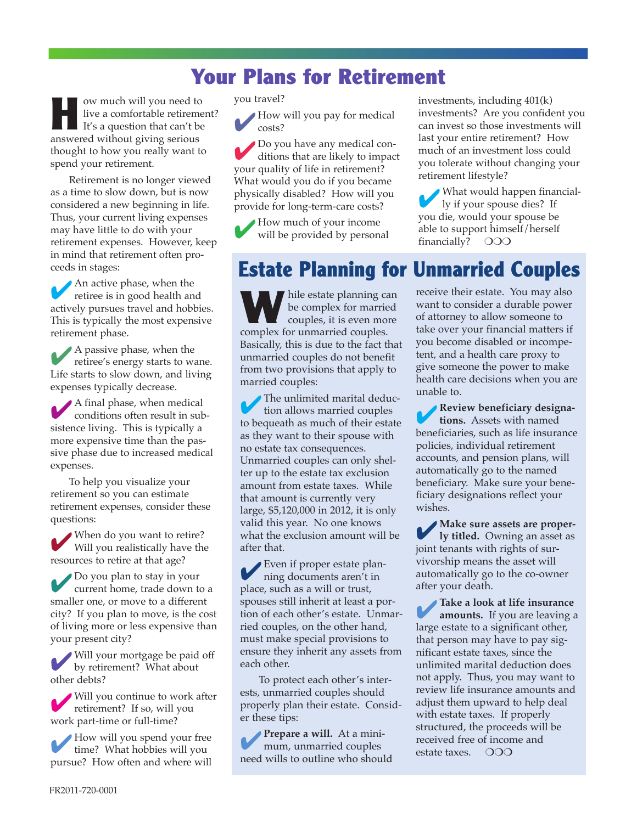## **Your Plans for Retirement**

**H** ow much will you need to live a comfortable retirement? It's a question that can't be answered without giving serious thought to how you really want to spend your retirement.

Retirement is no longer viewed as a time to slow down, but is now considered a new beginning in life. Thus, your current living expenses may have little to do with your retirement expenses. However, keep in mind that retirement often proceeds in stages:

An active phase, when the retiree is in good health and actively pursues travel and hobbies. This is typically the most expensive retirement phase.

4<sup>A</sup> passive phase, when the retiree's energy starts to wane. Life starts to slow down, and living expenses typically decrease.

4<sup>A</sup> final phase, when medical conditions often result in subsistence living. This is typically a more expensive time than the passive phase due to increased medical expenses.

To help you visualize your retirement so you can estimate retirement expenses, consider these questions:

When do you want to retire?<br>Will you realistically have the resources to retire at that age?

4Do you plan to stay in your current home, trade down to a smaller one, or move to a different city? If you plan to move, is the cost of living more or less expensive than your present city?

4 Will your mortgage be paid off by retirement? What about other debts?

4 Will you continue to work after retirement? If so, will you work part-time or full-time?

4How will you spend your free time? What hobbies will you pursue? How often and where will you travel?

How will you pay for medical costs?

4Do you have any medical con-ditions that are likely to impact your quality of life in retirement? What would you do if you became physically disabled? How will you provide for long-term-care costs?

4How much of your income will be provided by personal investments, including 401(k) investments? Are you confident you can invest so those investments will last your entire retirement? How much of an investment loss could you tolerate without changing your retirement lifestyle?

What would happen financially if your spouse dies? If you die, would your spouse be able to support himself/herself financially?  $OOO$ 

## **Estate Planning for Unmarried Couples**

**W**hile estate planning can<br>be complex for married<br>couples, it is even more be complex for married **couples**, it is even more complex for unmarried couples. Basically, this is due to the fact that unmarried couples do not benefit from two provisions that apply to married couples:

The unlimited marital deduction allows married couples to bequeath as much of their estate as they want to their spouse with no estate tax consequences. Unmarried couples can only shelter up to the estate tax exclusion amount from estate taxes. While that amount is currently very large, \$5,120,000 in 2012, it is only valid this year. No one knows what the exclusion amount will be after that.

4Even if proper estate plan-ning documents aren't in place, such as a will or trust, spouses still inherit at least a portion of each other's estate. Unmarried couples, on the other hand, must make special provisions to ensure they inherit any assets from each other.

To protect each other's interests, unmarried couples should properly plan their estate. Consider these tips:

4**Prepare <sup>a</sup> will.** At <sup>a</sup> minimum, unmarried couples need wills to outline who should receive their estate. You may also want to consider a durable power of attorney to allow someone to take over your financial matters if you become disabled or incompetent, and a health care proxy to give someone the power to make health care decisions when you are unable to.

4**Review beneficiary designations.** Assets with named beneficiaries, such as life insurance policies, individual retirement accounts, and pension plans, will automatically go to the named beneficiary. Make sure your beneficiary designations reflect your wishes.

4**Make sure assets are proper-ly titled.** Owning an asset as joint tenants with rights of survivorship means the asset will automatically go to the co-owner after your death.

4**Take <sup>a</sup> look at life insurance amounts.** If you are leaving a large estate to a significant other, that person may have to pay significant estate taxes, since the unlimited marital deduction does not apply. Thus, you may want to review life insurance amounts and adjust them upward to help deal with estate taxes. If properly structured, the proceeds will be received free of income and estate taxes.  $\circ$  000